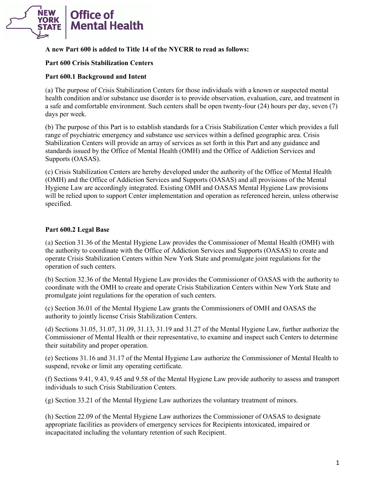

## **A new Part 600 is added to Title 14 of the NYCRR to read as follows:**

### **Part 600 Crisis Stabilization Centers**

### **Part 600.1 Background and Intent**

 (a) The purpose of Crisis Stabilization Centers for those individuals with a known or suspected mental health condition and/or substance use disorder is to provide observation, evaluation, care, and treatment in a safe and comfortable environment. Such centers shall be open twenty-four (24) hours per day, seven (7) days per week.

 (b) The purpose of this Part is to establish standards for a Crisis Stabilization Center which provides a full range of psychiatric emergency and substance use services within a defined geographic area. Crisis Stabilization Centers will provide an array of services as set forth in this Part and any guidance and standards issued by the Office of Mental Health (OMH) and the Office of Addiction Services and Supports (OASAS).

 (OMH) and the Office of Addiction Services and Supports (OASAS) and all provisions of the Mental (c) Crisis Stabilization Centers are hereby developed under the authority of the Office of Mental Health Hygiene Law are accordingly integrated. Existing OMH and OASAS Mental Hygiene Law provisions will be relied upon to support Center implementation and operation as referenced herein, unless otherwise specified.

# **Part 600.2 Legal Base**

 (a) Section 31.36 of the Mental Hygiene Law provides the Commissioner of Mental Health (OMH) with operate Crisis Stabilization Centers within New York State and promulgate joint regulations for the the authority to coordinate with the Office of Addiction Services and Supports (OASAS) to create and operation of such centers.

 (b) Section 32.36 of the Mental Hygiene Law provides the Commissioner of OASAS with the authority to coordinate with the OMH to create and operate Crisis Stabilization Centers within New York State and promulgate joint regulations for the operation of such centers.

 (c) Section 36.01 of the Mental Hygiene Law grants the Commissioners of OMH and OASAS the authority to jointly license Crisis Stabilization Centers.

(d) Sections 31.05, 31.07, 31.09, 31.13, 31.19 and 31.27 of the Mental Hygiene Law, further authorize the Commissioner of Mental Health or their representative, to examine and inspect such Centers to determine their suitability and proper operation.

 suspend, revoke or limit any operating certificate. (e) Sections 31.16 and 31.17 of the Mental Hygiene Law authorize the Commissioner of Mental Health to

 (f) Sections 9.41, 9.43, 9.45 and 9.58 of the Mental Hygiene Law provide authority to assess and transport individuals to such Crisis Stabilization Centers.

(g) Section 33.21 of the Mental Hygiene Law authorizes the voluntary treatment of minors.

 (h) Section 22.09 of the Mental Hygiene Law authorizes the Commissioner of OASAS to designate appropriate facilities as providers of emergency services for Recipients intoxicated, impaired or incapacitated including the voluntary retention of such Recipient.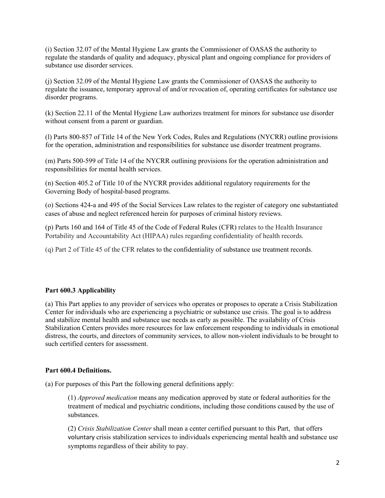regulate the standards of quality and adequacy, physical plant and ongoing compliance for providers of substance use disorder services. (i) Section 32.07 of the Mental Hygiene Law grants the Commissioner of OASAS the authority to

 (j) Section 32.09 of the Mental Hygiene Law grants the Commissioner of OASAS the authority to disorder programs. regulate the issuance, temporary approval of and/or revocation of, operating certificates for substance use

 $(k)$  Section 22.11 of the Mental Hygiene Law authorizes treatment for minors for substance use disorder without consent from a parent or guardian.

 (l) Parts 800-857 of Title 14 of the New York Codes, Rules and Regulations (NYCRR) outline provisions for the operation, administration and responsibilities for substance use disorder treatment programs.

(m) Parts 500-599 of Title 14 of the NYCRR outlining provisions for the operation administration and responsibilities for mental health services.

(n) Section 405.2 of Title 10 of the NYCRR provides additional regulatory requirements for the Governing Body of hospital-based programs.

(o) Sections 424-a and 495 of the Social Services Law relates to the register of category one substantiated cases of abuse and neglect referenced herein for purposes of criminal history reviews.

 (p) Parts 160 and 164 of Title 45 of the Code of Federal Rules (CFR) relates to the Health Insurance Portability and Accountability Act (HIPAA) rules regarding confidentiality of health records.

(q) Part 2 of Title 45 of the CFR relates to the confidentiality of substance use treatment records.

# **Part 600.3 Applicability**

 (a) This Part applies to any provider of services who operates or proposes to operate a Crisis Stabilization Center for individuals who are experiencing a psychiatric or substance use crisis. The goal is to address Stabilization Centers provides more resources for law enforcement responding to individuals in emotional and stabilize mental health and substance use needs as early as possible. The availability of Crisis distress, the courts, and directors of community services, to allow non-violent individuals to be brought to such certified centers for assessment.

### **Part 600.4 Definitions.**

(a) For purposes of this Part the following general definitions apply:

 (1) *Approved medication* means any medication approved by state or federal authorities for the treatment of medical and psychiatric conditions, including those conditions caused by the use of substances.

 (2) *Crisis Stabilization Center* shall mean a center certified pursuant to this Part, that offers voluntary crisis stabilization services to individuals experiencing mental health and substance use symptoms regardless of their ability to pay.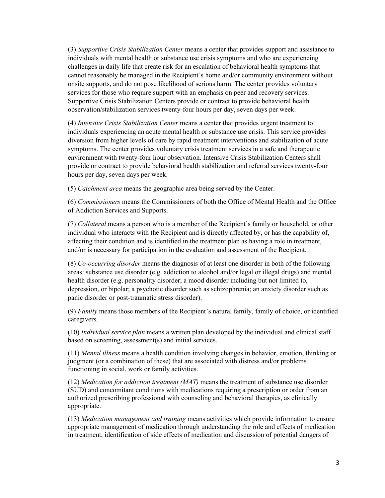(3) *Supportive Crisis Stabilization Center* means a center that provides support and assistance to onsite supports, and do not pose likelihood of serious harm. The center provides voluntary services for those who require support with an emphasis on peer and recovery services. observation/stabilization services twenty-four hours per day, seven days per week. individuals with mental health or substance use crisis symptoms and who are experiencing challenges in daily life that create risk for an escalation of behavioral health symptoms that cannot reasonably be managed in the Recipient's home and/or community environment without Supportive Crisis Stabilization Centers provide or contract to provide behavioral health

 observation/stabilization services twenty-four hours per day, seven days per week. (4) *Intensive Crisis Stabilization Center* means a center that provides urgent treatment to provide or contract to provide behavioral health stabilization and referral services twenty-four hours per day, seven days per week. individuals experiencing an acute mental health or substance use crisis. This service provides diversion from higher levels of care by rapid treatment interventions and stabilization of acute symptoms. The center provides voluntary crisis treatment services in a safe and therapeutic environment with twenty-four hour observation. Intensive Crisis Stabilization Centers shall

(5) *Catchment area* means the geographic area being served by the Center.

 (6) *Commissioners* means the Commissioners of both the Office of Mental Health and the Office of Addiction Services and Supports.

 (7) *Collateral* means a person who is a member of the Recipient's family or household, or other individual who interacts with the Recipient and is directly affected by, or has the capability of, affecting their condition and is identified in the treatment plan as having a role in treatment, and/or is necessary for participation in the evaluation and assessment of the Recipient.

 (8) *Co-occurring disorder* means the diagnosis of at least one disorder in both of the following areas: substance use disorder (e.g. addiction to alcohol and/or legal or illegal drugs) and mental health disorder (e.g. personality disorder; a mood disorder including but not limited to, depression, or bipolar; a psychotic disorder such as schizophrenia; an anxiety disorder such as panic disorder or post-traumatic stress disorder).

 (9) *Family* means those members of the Recipient's natural family, family of choice, or identified caregivers.

 (10) *Individual service plan* means a written plan developed by the individual and clinical staff based on screening, assessment(s) and initial services.

 (11) *Mental illness* means a health condition involving changes in behavior, emotion, thinking or judgment (or a combination of these) that are associated with distress and/or problems functioning in social, work or family activities.

 (12) *Medication for addiction treatment (MAT)* means the treatment of substance use disorder (SUD) and concomitant conditions with medications requiring a prescription or order from an authorized prescribing professional with counseling and behavioral therapies, as clinically appropriate.

(13) *Medication management and training* means activities which provide information to ensure appropriate management of medication through understanding the role and effects of medication in treatment, identification of side effects of medication and discussion of potential dangers of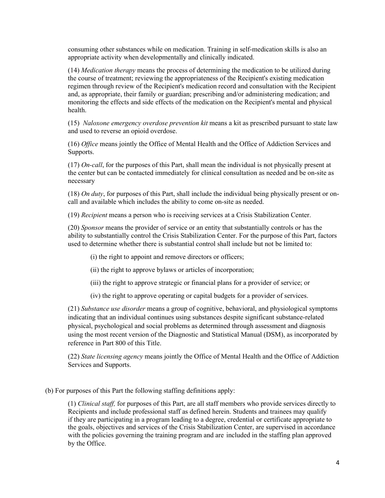consuming other substances while on medication. Training in self-medication skills is also an appropriate activity when developmentally and clinically indicated.

 (14) *Medication therapy* means the process of determining the medication to be utilized during regimen through review of the Recipient's medication record and consultation with the Recipient monitoring the effects and side effects of the medication on the Recipient's mental and physical the course of treatment; reviewing the appropriateness of the Recipient's existing medication and, as appropriate, their family or guardian; prescribing and/or administering medication; and health.

 (15) *Naloxone emergency overdose prevention kit* means a kit as prescribed pursuant to state law and used to reverse an opioid overdose.

(16) *Office* means jointly the Office of Mental Health and the Office of Addiction Services and Supports.

 (17) *On-call*, for the purposes of this Part, shall mean the individual is not physically present at necessary the center but can be contacted immediately for clinical consultation as needed and be on-site as

(18) *On duty*, for purposes of this Part, shall include the individual being physically present or oncall and available which includes the ability to come on-site as needed.

(19) *Recipient* means a person who is receiving services at a Crisis Stabilization Center.

 (20) *Sponsor* means the provider of service or an entity that substantially controls or has the ability to substantially control the Crisis Stabilization Center. For the purpose of this Part, factors used to determine whether there is substantial control shall include but not be limited to:

(i) the right to appoint and remove directors or officers;

(ii) the right to approve bylaws or articles of incorporation;

(iii) the right to approve strategic or financial plans for a provider of service; or

(iv) the right to approve operating or capital budgets for a provider of services.

 using the most recent version of the Diagnostic and Statistical Manual (DSM), as incorporated by (21) *Substance use disorder* means a group of cognitive, behavioral, and physiological symptoms indicating that an individual continues using substances despite significant substance-related physical, psychological and social problems as determined through assessment and diagnosis reference in Part 800 of this Title.

(22) *State licensing agency* means jointly the Office of Mental Health and the Office of Addiction Services and Supports.

(b) For purposes of this Part the following staffing definitions apply:

 (1) *Clinical staff,* for purposes of this Part, are all staff members who provide services directly to the goals, objectives and services of the Crisis Stabilization Center, are supervised in accordance with the policies governing the training program and are included in the staffing plan approved Recipients and include professional staff as defined herein. Students and trainees may qualify if they are participating in a program leading to a degree, credential or certificate appropriate to by the Office.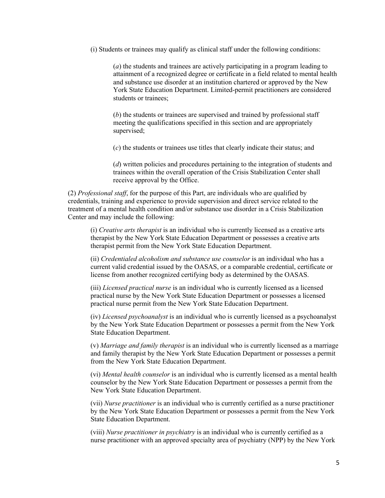(i) Students or trainees may qualify as clinical staff under the following conditions:

 (*a*) the students and trainees are actively participating in a program leading to attainment of a recognized degree or certificate in a field related to mental health and substance use disorder at an institution chartered or approved by the New York State Education Department. Limited-permit practitioners are considered students or trainees;

 (*b*) the students or trainees are supervised and trained by professional staff supervised; meeting the qualifications specified in this section and are appropriately

(*c*) the students or trainees use titles that clearly indicate their status; and

 (*d*) written policies and procedures pertaining to the integration of students and trainees within the overall operation of the Crisis Stabilization Center shall receive approval by the Office.

 treatment of a mental health condition and/or substance use disorder in a Crisis Stabilization (2) *Professional staff*, for the purpose of this Part, are individuals who are qualified by credentials, training and experience to provide supervision and direct service related to the Center and may include the following:

 (i) *Creative arts therapist* is an individual who is currently licensed as a creative arts therapist permit from the New York State Education Department. therapist by the New York State Education Department or possesses a creative arts

 (ii) *Credentialed alcoholism and substance use counselor* is an individual who has a current valid credential issued by the OASAS, or a comparable credential, certificate or license from another recognized certifying body as determined by the OASAS.

 practical nurse by the New York State Education Department or possesses a licensed (iii) *Licensed practical nurse* is an individual who is currently licensed as a licensed practical nurse permit from the New York State Education Department.

 by the New York State Education Department or possesses a permit from the New York (iv) *Licensed psychoanalyst* is an individual who is currently licensed as a psychoanalyst State Education Department.

 and family therapist by the New York State Education Department or possesses a permit (v) *Marriage and family therapist* is an individual who is currently licensed as a marriage from the New York State Education Department.

(vi) *Mental health counselor* is an individual who is currently licensed as a mental health counselor by the New York State Education Department or possesses a permit from the New York State Education Department.

 (vii) *Nurse practitioner* is an individual who is currently certified as a nurse practitioner by the New York State Education Department or possesses a permit from the New York State Education Department.

(viii) *Nurse practitioner in psychiatry* is an individual who is currently certified as a nurse practitioner with an approved specialty area of psychiatry (NPP) by the New York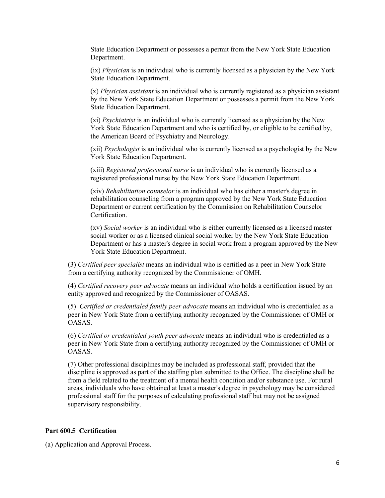State Education Department or possesses a permit from the New York State Education Department.

 (ix) *Physician* is an individual who is currently licensed as a physician by the New York State Education Department.

 by the New York State Education Department or possesses a permit from the New York **State Education Department.** (x) *Physician assistant* is an individual who is currently registered as a physician assistant

 York State Education Department and who is certified by, or eligible to be certified by, (xi) *Psychiatrist* is an individual who is currently licensed as a physician by the New the American Board of Psychiatry and Neurology.

(xii) *Psychologist* is an individual who is currently licensed as a psychologist by the New York State Education Department.

(xiii) *Registered professional nurse* is an individual who is currently licensed as a registered professional nurse by the New York State Education Department.

(xiv) *Rehabilitation counselor* is an individual who has either a master's degree in rehabilitation counseling from a program approved by the New York State Education Department or current certification by the Commission on Rehabilitation Counselor Certification.

 (xv) *Social worker* is an individual who is either currently licensed as a licensed master Department or has a master's degree in social work from a program approved by the New social worker or as a licensed clinical social worker by the New York State Education York State Education Department.

 from a certifying authority recognized by the Commissioner of OMH. (3) *Certified peer specialist* means an individual who is certified as a peer in New York State

entity approved and recognized by the Commissioner of OASAS. (4) *Certified recovery peer advocate* means an individual who holds a certification issued by an

entity approved and recognized by the Commissioner of OASAS.<br>(5) *Certified or credentialed family peer advocate* means an individual who is credentialed as a peer in New York State from a certifying authority recognized by the Commissioner of OMH or OASAS.

 peer in New York State from a certifying authority recognized by the Commissioner of OMH or (6) *Certified or credentialed youth peer advocate* means an individual who is credentialed as a OASAS.

 (7) Other professional disciplines may be included as professional staff, provided that the discipline is approved as part of the staffing plan submitted to the Office. The discipline shall be from a field related to the treatment of a mental health condition and/or substance use. For rural areas, individuals who have obtained at least a master's degree in psychology may be considered professional staff for the purposes of calculating professional staff but may not be assigned supervisory responsibility.

### **Part 600.5 Certification**

(a) Application and Approval Process.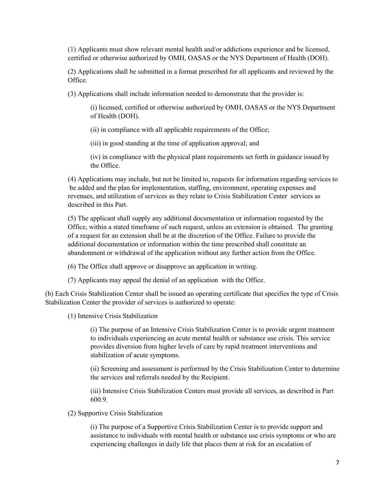(1) Applicants must show relevant mental health and/or addictions experience and be licensed, certified or otherwise authorized by OMH, OASAS or the NYS Department of Health (DOH).

(2) Applications shall be submitted in a format prescribed for all applicants and reviewed by the Office.

(3) Applications shall include information needed to demonstrate that the provider is:

(i) licensed, certified or otherwise authorized by OMH, OASAS or the NYS Department of Health (DOH).

(ii) in compliance with all applicable requirements of the Office;

(iii) in good standing at the time of application approval; and

(iv) in compliance with the physical plant requirements set forth in guidance issued by the Office.

 (4) Applications may include, but not be limited to, requests for information regarding services to revenues, and utilization of services as they relate to Crisis Stabilization Center services as be added and the plan for implementation, staffing, environment, operating expenses and described in this Part.

 of a request for an extension shall be at the discretion of the Office. Failure to provide the abandonment or withdrawal of the application without any further action from the Office. (5) The applicant shall supply any additional documentation or information requested by the Office, within a stated timeframe of such request, unless an extension is obtained. The granting additional documentation or information within the time prescribed shall constitute an

(6) The Office shall approve or disapprove an application in writing.

(6) The Office shall approve or disapprove an application in writing. (7) Applicants may appeal the denial of an application with the Office.

 (b) Each Crisis Stabilization Center shall be issued an operating certificate that specifies the type of Crisis Stabilization Center the provider of services is authorized to operate:

(1) Intensive Crisis Stabilization

 (i) The purpose of an Intensive Crisis Stabilization Center is to provide urgent treatment provides diversion from higher levels of care by rapid treatment interventions and stabilization of acute symptoms. to individuals experiencing an acute mental health or substance use crisis. This service

the services and referrals needed by the Recipient. (ii) Screening and assessment is performed by the Crisis Stabilization Center to determine

the services and referrals needed by the Recipient.<br>(iii) Intensive Crisis Stabilization Centers must provide all services, as described in Part 600.9.

(2) Supportive Crisis Stabilization

 assistance to individuals with mental health or substance use crisis symptoms or who are (i) The purpose of a Supportive Crisis Stabilization Center is to provide support and experiencing challenges in daily life that places them at risk for an escalation of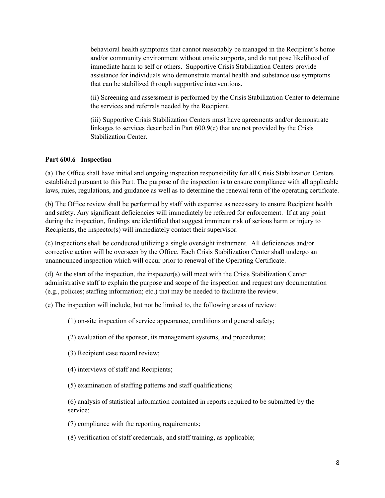and/or community environment without onsite supports, and do not pose likelihood of immediate harm to self or others. Supportive Crisis Stabilization Centers provide that can be stabilized through supportive interventions. behavioral health symptoms that cannot reasonably be managed in the Recipient's home assistance for individuals who demonstrate mental health and substance use symptoms

(ii) Screening and assessment is performed by the Crisis Stabilization Center to determine the services and referrals needed by the Recipient.

 linkages to services described in Part 600.9(c) that are not provided by the Crisis (iii) Supportive Crisis Stabilization Centers must have agreements and/or demonstrate Stabilization Center.

### **Part 600.6 Inspection**

 (a) The Office shall have initial and ongoing inspection responsibility for all Crisis Stabilization Centers established pursuant to this Part. The purpose of the inspection is to ensure compliance with all applicable laws, rules, regulations, and guidance as well as to determine the renewal term of the operating certificate.

 laws, rules, regulations, and guidance as well as to determine the renewal term of the operating certificate. (b) The Office review shall be performed by staff with expertise as necessary to ensure Recipient health and safety. Any significant deficiencies will immediately be referred for enforcement. If at any point during the inspection, findings are identified that suggest imminent risk of serious harm or injury to Recipients, the inspector(s) will immediately contact their supervisor.

 (c) Inspections shall be conducted utilizing a single oversight instrument. All deficiencies and/or corrective action will be overseen by the Office. Each Crisis Stabilization Center shall undergo an unannounced inspection which will occur prior to renewal of the Operating Certificate.

 (d) At the start of the inspection, the inspector(s) will meet with the Crisis Stabilization Center (e.g., policies; staffing information; etc.) that may be needed to facilitate the review. administrative staff to explain the purpose and scope of the inspection and request any documentation

(e) The inspection will include, but not be limited to, the following areas of review:

- 
- (1) on-site inspection of service appearance, conditions and general safety; (2) evaluation of the sponsor, its management systems, and procedures;
- (3) Recipient case record review;
- $(4)$  interviews of staff and Recipients;
- (5) examination of staffing patterns and staff qualifications;

 $(6)$  analysis of statistical information contained in reports required to be submitted by the service;

- (7) compliance with the reporting requirements;
- (7) compliance with the reporting requirements; (8) verification of staff credentials, and staff training, as applicable;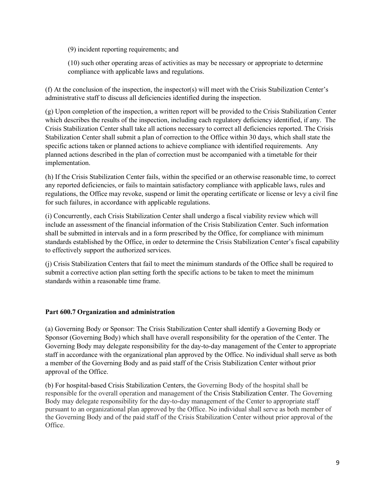(9) incident reporting requirements; and

 (10) such other operating areas of activities as may be necessary or appropriate to determine compliance with applicable laws and regulations.

compliance with applicable laws and regulations.<br>(f) At the conclusion of the inspection, the inspector(s) will meet with the Crisis Stabilization Center's administrative staff to discuss all deficiencies identified during the inspection.

 Crisis Stabilization Center shall take all actions necessary to correct all deficiencies reported. The Crisis Stabilization Center shall submit a plan of correction to the Office within 30 days, which shall state the specific actions taken or planned actions to achieve compliance with identified requirements. Any planned actions described in the plan of correction must be accompanied with a timetable for their (g) Upon completion of the inspection, a written report will be provided to the Crisis Stabilization Center which describes the results of the inspection, including each regulatory deficiency identified, if any. The implementation.

 any reported deficiencies, or fails to maintain satisfactory compliance with applicable laws, rules and regulations, the Office may revoke, suspend or limit the operating certificate or license or levy a civil fine for such failures, in accordance with applicable regulations. (h) If the Crisis Stabilization Center fails, within the specified or an otherwise reasonable time, to correct

 for such failures, in accordance with applicable regulations. (i) Concurrently, each Crisis Stabilization Center shall undergo a fiscal viability review which will include an assessment of the financial information of the Crisis Stabilization Center. Such information shall be submitted in intervals and in a form prescribed by the Office, for compliance with minimum standards established by the Office, in order to determine the Crisis Stabilization Center's fiscal capability to effectively support the authorized services.

 submit a corrective action plan setting forth the specific actions to be taken to meet the minimum standards within a reasonable time frame. (j) Crisis Stabilization Centers that fail to meet the minimum standards of the Office shall be required to

# **Part 600.7 Organization and administration**

 (a) Governing Body or Sponsor: The Crisis Stabilization Center shall identify a Governing Body or Sponsor (Governing Body) which shall have overall responsibility for the operation of the Center. The Governing Body may delegate responsibility for the day-to-day management of the Center to appropriate staff in accordance with the organizational plan approved by the Office. No individual shall serve as both a member of the Governing Body and as paid staff of the Crisis Stabilization Center without prior approval of the Office.

 (b) For hospital-based Crisis Stabilization Centers, the Governing Body of the hospital shall be responsible for the overall operation and management of the Crisis Stabilization Center. The Governing Body may delegate responsibility for the day-to-day management of the Center to appropriate staff the Governing Body and of the paid staff of the Crisis Stabilization Center without prior approval of the pursuant to an organizational plan approved by the Office. No individual shall serve as both member of Office.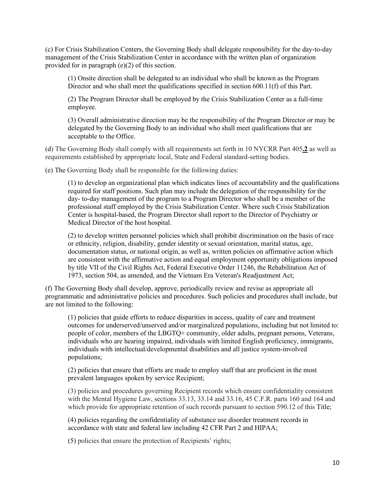management of the Crisis Stabilization Center in accordance with the written plan of organization provided for in paragraph (e)(2) of this section. (c) For Crisis Stabilization Centers, the Governing Body shall delegate responsibility for the day-to-day

 (1) Onsite direction shall be delegated to an individual who shall be known as the Program Director and who shall meet the qualifications specified in section 600.11(f) of this Part.

 (2) The Program Director shall be employed by the Crisis Stabilization Center as a full-time employee.

 (3) Overall administrative direction may be the responsibility of the Program Director or may be delegated by the Governing Body to an individual who shall meet qualifications that are acceptable to the Office.

(d) The Governing Body shall comply with all requirements set forth in 10 NYCRR Part 405**.2** as well as requirements established by appropriate local, State and Federal standard-setting bodies.

(e) The Governing Body shall be responsible for the following duties:

 required for staff positions. Such plan may include the delegation of the responsibility for the day- to-day management of the program to a Program Director who shall be a member of the Medical Director of the host hospital. (1) to develop an organizational plan which indicates lines of accountability and the qualifications professional staff employed by the Crisis Stabilization Center. Where such Crisis Stabilization Center is hospital-based, the Program Director shall report to the Director of Psychiatry or

 are consistent with the affirmative action and equal employment opportunity obligations imposed 1973, section 504, as amended, and the Vietnam Era Veteran's Readjustment Act; (2) to develop written personnel policies which shall prohibit discrimination on the basis of race or ethnicity, religion, disability, gender identity or sexual orientation, marital status, age, documentation status, or national origin, as well as, written policies on affirmative action which by title VII of the Civil Rights Act, Federal Executive Order 11246, the Rehabilitation Act of

 programmatic and administrative policies and procedures. Such policies and procedures shall include, but are not limited to the following: are not limited to the following:<br>(1) policies that guide efforts to reduce disparities in access, quality of care and treatment (f) The Governing Body shall develop, approve, periodically review and revise as appropriate all

outcomes for underserved/unserved and/or marginalized populations, including but not limited to: people of color, members of the LBGTQ+ community, older adults, pregnant persons, Veterans, individuals who are hearing impaired, individuals with limited English proficiency, immigrants, individuals with intellectual/developmental disabilities and all justice system-involved populations;

 (2) policies that ensure that efforts are made to employ staff that are proficient in the most prevalent languages spoken by service Recipient;

 which provide for appropriate retention of such records pursuant to section 590.12 of this Title; (3) policies and procedures governing Recipient records which ensure confidentiality consistent with the Mental Hygiene Law, sections 33.13, 33.14 and 33.16, 45 C.F.R. parts 160 and 164 and

 (4) policies regarding the confidentiality of substance use disorder treatment records in accordance with state and federal law including 42 CFR Part 2 and HIPAA;

(5) policies that ensure the protection of Recipients' rights;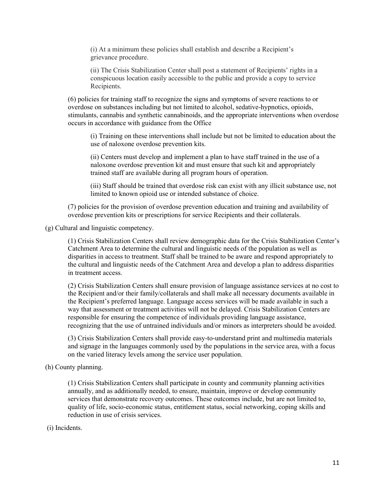(i) At a minimum these policies shall establish and describe a Recipient's grievance procedure. (i) At a minimum these policies shall establish and describe a Recipient's grievance procedure. (ii) The Crisis Stabilization Center shall post a statement of Recipients' rights in a

 conspicuous location easily accessible to the public and provide a copy to service Recipients.

(6) policies for training staff to recognize the signs and symptoms of severe reactions to or overdose on substances including but not limited to alcohol, sedative-hypnotics, opioids, stimulants, cannabis and synthetic cannabinoids, and the appropriate interventions when overdose occurs in accordance with guidance from the Office

 (i) Training on these interventions shall include but not be limited to education about the use of naloxone overdose prevention kits.

(ii) Centers must develop and implement a plan to have staff trained in the use of a naloxone overdose prevention kit and must ensure that such kit and appropriately trained staff are available during all program hours of operation.

(iii) Staff should be trained that overdose risk can exist with any illicit substance use, not limited to known opioid use or intended substance of choice.

 (7) policies for the provision of overdose prevention education and training and availability of overdose prevention kits or prescriptions for service Recipients and their collaterals.

(g) Cultural and linguistic competency.

 disparities in access to treatment. Staff shall be trained to be aware and respond appropriately to (1) Crisis Stabilization Centers shall review demographic data for the Crisis Stabilization Center's Catchment Area to determine the cultural and linguistic needs of the population as well as the cultural and linguistic needs of the Catchment Area and develop a plan to address disparities in treatment access.

 (2) Crisis Stabilization Centers shall ensure provision of language assistance services at no cost to the Recipient and/or their family/collaterals and shall make all necessary documents available in way that assessment or treatment activities will not be delayed. Crisis Stabilization Centers are responsible for ensuring the competence of individuals providing language assistance, recognizing that the use of untrained individuals and/or minors as interpreters should be avoided. the Recipient's preferred language. Language access services will be made available in such a

(3) Crisis Stabilization Centers shall provide easy-to-understand print and multimedia materials and signage in the languages commonly used by the populations in the service area, with a focus on the varied literacy levels among the service user population.

(h) County planning.

 services that demonstrate recovery outcomes. These outcomes include, but are not limited to, (1) Crisis Stabilization Centers shall participate in county and community planning activities annually, and as additionally needed, to ensure, maintain, improve or develop community quality of life, socio-economic status, entitlement status, social networking, coping skills and reduction in use of crisis services.

(i) Incidents.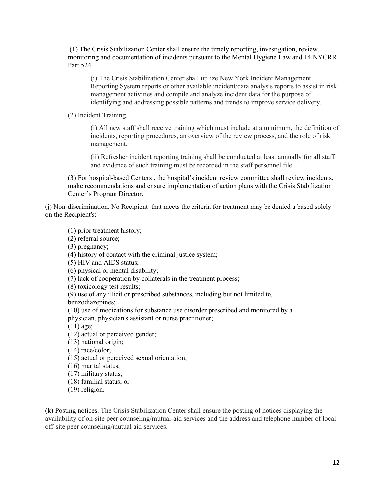monitoring and documentation of incidents pursuant to the Mental Hygiene Law and 14 NYCRR (1) The Crisis Stabilization Center shall ensure the timely reporting, investigation, review, Part 524.

 Reporting System reports or other available incident/data analysis reports to assist in risk management activities and compile and analyze incident data for the purpose of (i) The Crisis Stabilization Center shall utilize New York Incident Management identifying and addressing possible patterns and trends to improve service delivery.

(2) Incident Training.

(i) All new staff shall receive training which must include at a minimum, the definition of incidents, reporting procedures, an overview of the review process, and the role of risk management.

(ii) Refresher incident reporting training shall be conducted at least annually for all staff and evidence of such training must be recorded in the staff personnel file.

(3) For hospital-based Centers , the hospital's incident review committee shall review incidents, make recommendations and ensure implementation of action plans with the Crisis Stabilization Center's Program Director.

 (j) Non-discrimination. No Recipient that meets the criteria for treatment may be denied a based solely on the Recipient's:

(1) prior treatment history;

(2) referral source;

(3) pregnancy;

(4) history of contact with the criminal justice system;

(5) HIV and AIDS status;

(6) physical or mental disability;

(7) lack of cooperation by collaterals in the treatment process;

(8) toxicology test results;

(9) use of any illicit or prescribed substances, including but not limited to,

benzodiazepines;

benzodiazepines;<br>(10) use of medications for substance use disorder prescribed and monitored by a physician, physician's assistant or nurse practitioner;

(11) age;

(12) actual or perceived gender;

(13) national origin;

(14) race/color;

(15) actual or perceived sexual orientation;

(16) marital status;

(17) military status;

(18) familial status; or

(19) religion.

 (k) Posting notices. The Crisis Stabilization Center shall ensure the posting of notices displaying the off-site peer counseling/mutual aid services. availability of on-site peer counseling/mutual-aid services and the address and telephone number of local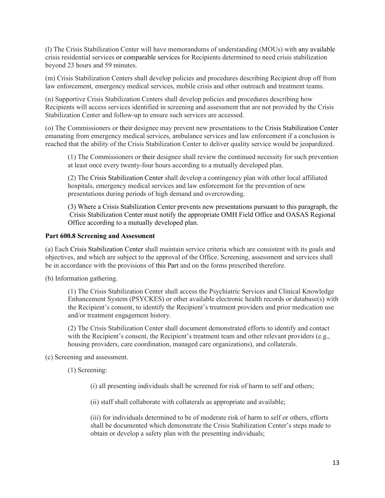(l) The Crisis Stabilization Center will have memorandums of understanding (MOUs) with any available crisis residential services or comparable services for Recipients determined to need crisis stabilization beyond 23 hours and 59 minutes.

 law enforcement, emergency medical services, mobile crisis and other outreach and treatment teams. (m) Crisis Stabilization Centers shall develop policies and procedures describing Recipient drop off from

 (n) Supportive Crisis Stabilization Centers shall develop policies and procedures describing how Stabilization Center and follow-up to ensure such services are accessed. Recipients will access services identified in screening and assessment that are not provided by the Crisis

 (o) The Commissioners or their designee may prevent new presentations to the Crisis Stabilization Center reached that the ability of the Crisis Stabilization Center to deliver quality service would be jeopardized. emanating from emergency medical services, ambulance services and law enforcement if a conclusion is

(1) The Commissioners or their designee shall review the continued necessity for such prevention at least once every twenty-four hours according to a mutually developed plan.

 hospitals, emergency medical services and law enforcement for the prevention of new (2) The Crisis Stabilization Center shall develop a contingency plan with other local affiliated presentations during periods of high demand and overcrowding.

(3) Where a Crisis Stabilization Center prevents new presentations pursuant to this paragraph, the Crisis Stabilization Center must notify the appropriate OMH Field Office and OASAS Regional Office according to a mutually developed plan.

### **Part 600.8 Screening and Assessment**

 objectives, and which are subject to the approval of the Office. Screening, assessment and services shall be in accordance with the provisions of this Part and on the forms prescribed therefore. (a) Each Crisis Stabilization Center shall maintain service criteria which are consistent with its goals and

(b) Information gathering.

 the Recipient's consent, to identify the Recipient's treatment providers and prior medication use (1) The Crisis Stabilization Center shall access the Psychiatric Services and Clinical Knowledge Enhancement System (PSYCKES) or other available electronic health records or database(s) with and/or treatment engagement history.

(2) The Crisis Stabilization Center shall document demonstrated efforts to identify and contact with the Recipient's consent, the Recipient's treatment team and other relevant providers (e.g., housing providers, care coordination, managed care organizations), and collaterals.

(c) Screening and assessment.

(1) Screening:

(i) all presenting individuals shall be screened for risk of harm to self and others;

(ii) staff shall collaborate with collaterals as appropriate and available;

 (iii) for individuals determined to be of moderate risk of harm to self or others, efforts shall be documented which demonstrate the Crisis Stabilization Center's steps made to obtain or develop a safety plan with the presenting individuals;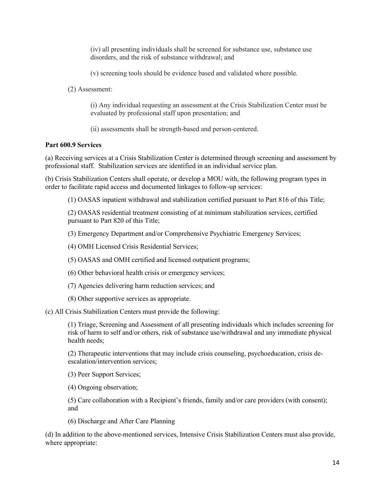(iv) all presenting individuals shall be screened for substance use, substance use disorders, and the risk of substance withdrawal; and

(v) screening tools should be evidence based and validated where possible.

(2) Assessment:

 (i) Any individual requesting an assessment at the Crisis Stabilization Center must be evaluated by professional staff upon presentation; and

(ii) assessments shall be strength-based and person-centered.

### **Part 600.9 Services**

(a) Receiving services at a Crisis Stabilization Center is determined through screening and assessment by professional staff. Stabilization services are identified in an individual service plan.

(b) Crisis Stabilization Centers shall operate, or develop a MOU with, the following program types in order to facilitate rapid access and documented linkages to follow-up services:

(1) OASAS inpatient withdrawal and stabilization certified pursuant to Part 816 of this Title;

 (2) OASAS residential treatment consisting of at minimum stabilization services, certified pursuant to Part 820 of this Title;

(3) Emergency Department and/or Comprehensive Psychiatric Emergency Services;

(4) OMH Licensed Crisis Residential Services;

(5) OASAS and OMH certified and licensed outpatient programs;

(6) Other behavioral health crisis or emergency services;

(7) Agencies delivering harm reduction services; and

(8) Other supportive services as appropriate.

(c) All Crisis Stabilization Centers must provide the following:

 risk of harm to self and/or others, risk of substance use/withdrawal and any immediate physical (1) Triage, Screening and Assessment of all presenting individuals which includes screening for health needs;

(2) Therapeutic interventions that may include crisis counseling, psychoeducation, crisis deescalation/intervention services;

(3) Peer Support Services;

(4) Ongoing observation;

(5) Care collaboration with a Recipient's friends, family and/or care providers (with consent); and

(6) Discharge and After Care Planning

(d) In addition to the above-mentioned services, Intensive Crisis Stabilization Centers must also provide, where appropriate: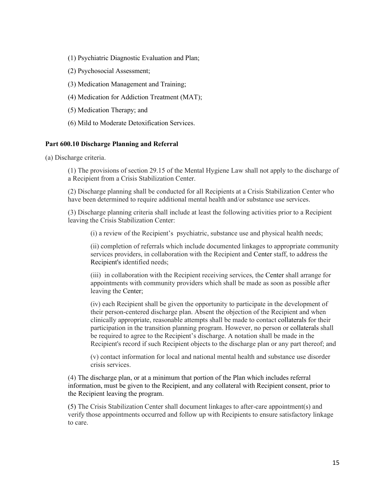- (1) Psychiatric Diagnostic Evaluation and Plan;
- (2) Psychosocial Assessment;
- (3) Medication Management and Training;
- (4) Medication for Addiction Treatment (MAT);
- (5) Medication Therapy; and
- (6) Mild to Moderate Detoxification Services.

### **Part 600.10 Discharge Planning and Referral**

(a) Discharge criteria.

 (1) The provisions of section 29.15 of the Mental Hygiene Law shall not apply to the discharge of a Recipient from a Crisis Stabilization Center.

 (2) Discharge planning shall be conducted for all Recipients at a Crisis Stabilization Center who have been determined to require additional mental health and/or substance use services.

(3) Discharge planning criteria shall include at least the following activities prior to a Recipient leaving the Crisis Stabilization Center:

(i) a review of the Recipient's psychiatric, substance use and physical health needs;

 services providers, in collaboration with the Recipient and Center staff, to address the (ii) completion of referrals which include documented linkages to appropriate community Recipient's identified needs;

 (iii) in collaboration with the Recipient receiving services, the Center shall arrange for appointments with community providers which shall be made as soon as possible after leaving the Center;

 be required to agree to the Recipient's discharge. A notation shall be made in the (iv) each Recipient shall be given the opportunity to participate in the development of their person-centered discharge plan. Absent the objection of the Recipient and when clinically appropriate, reasonable attempts shall be made to contact collaterals for their participation in the transition planning program. However, no person or collaterals shall Recipient's record if such Recipient objects to the discharge plan or any part thereof; and

(v) contact information for local and national mental health and substance use disorder crisis services.

 information, must be given to the Recipient, and any collateral with Recipient consent, prior to (4) The discharge plan, or at a minimum that portion of the Plan which includes referral the Recipient leaving the program.

(5) The Crisis Stabilization Center shall document linkages to after-care appointment(s) and verify those appointments occurred and follow up with Recipients to ensure satisfactory linkage to care.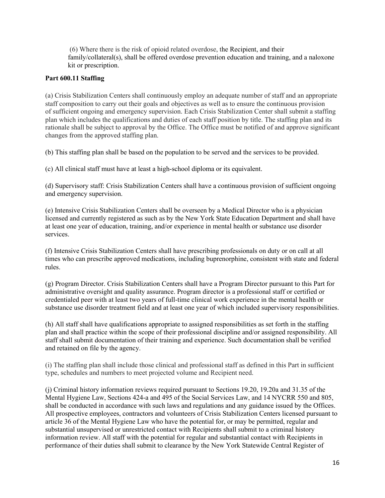(6) Where there is the risk of opioid related overdose, the Recipient, and their family/collateral(s), shall be offered overdose prevention education and training, and a naloxone kit or prescription.

## **Part 600.11 Staffing**

 staff composition to carry out their goals and objectives as well as to ensure the continuous provision of sufficient ongoing and emergency supervision. Each Crisis Stabilization Center shall submit a staffing rationale shall be subject to approval by the Office. The Office must be notified of and approve significant changes from the approved staffing plan. (a) Crisis Stabilization Centers shall continuously employ an adequate number of staff and an appropriate plan which includes the qualifications and duties of each staff position by title. The staffing plan and its

(b) This staffing plan shall be based on the population to be served and the services to be provided.

(c) All clinical staff must have at least a high-school diploma or its equivalent.

(c) All clinical staff must have at least a high-school diploma or its equivalent.<br>(d) Supervisory staff: Crisis Stabilization Centers shall have a continuous provision of sufficient ongoing and emergency supervision.

(e) Intensive Crisis Stabilization Centers shall be overseen by a Medical Director who is a physician licensed and currently registered as such as by the New York State Education Department and shall have at least one year of education, training, and/or experience in mental health or substance use disorder services.

(f) Intensive Crisis Stabilization Centers shall have prescribing professionals on duty or on call at all times who can prescribe approved medications, including buprenorphine, consistent with state and federal rules.

 (g) Program Director. Crisis Stabilization Centers shall have a Program Director pursuant to this Part for administrative oversight and quality assurance. Program director is a professional staff or certified or credentialed peer with at least two years of full-time clinical work experience in the mental health or substance use disorder treatment field and at least one year of which included supervisory responsibilities.

 (h) All staff shall have qualifications appropriate to assigned responsibilities as set forth in the staffing plan and shall practice within the scope of their professional discipline and/or assigned responsibility. All and retained on file by the agency. staff shall submit documentation of their training and experience. Such documentation shall be verified

 type, schedules and numbers to meet projected volume and Recipient need. (i) The staffing plan shall include those clinical and professional staff as defined in this Part in sufficient

shall be conducted in accordance with such laws and regulations and any guidance issued by the Offices. shall be conducted in accordance with such laws and regulations and any guidance issued by the Offices. All prospective employees, contractors and volunteers of Crisis Stabilization Centers licensed pursuant to article 36 of the Mental Hygiene Law who have the potential for, or may be permitted, regular and substantial unsupervised or unrestricted contact with Recipients shall submit to a criminal history information review. All staff with the potential for regular and substantial contact with Recipients in performance of their duties shall submit to clearance by the New York Statewide Central Register of (j) Criminal history information reviews required pursuant to Sections 19.20, 19.20a and 31.35 of the Mental Hygiene Law, Sections 424-a and 495 of the Social Services Law, and 14 NYCRR 550 and 805,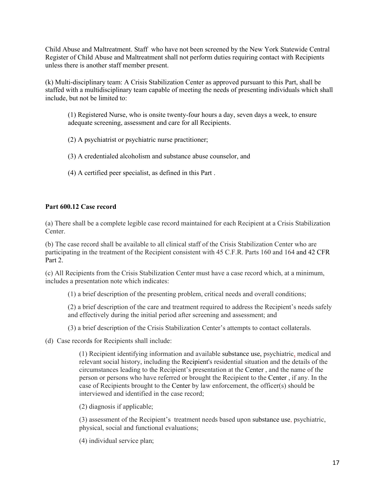Child Abuse and Maltreatment. Staff who have not been screened by the New York Statewide Central Register of Child Abuse and Maltreatment shall not perform duties requiring contact with Recipients unless there is another staff member present.

 (k) Multi-disciplinary team: A Crisis Stabilization Center as approved pursuant to this Part, shall be staffed with a multidisciplinary team capable of meeting the needs of presenting individuals which shall include, but not be limited to:

 (1) Registered Nurse, who is onsite twenty-four hours a day, seven days a week, to ensure adequate screening, assessment and care for all Recipients.

- (2) A psychiatrist or psychiatric nurse practitioner;
- (3) A credentialed alcoholism and substance abuse counselor, and
- (4) A certified peer specialist, as defined in this Part .

## **Part 600.12 Case record**

(a) There shall be a complete legible case record maintained for each Recipient at a Crisis Stabilization Center.

 (b) The case record shall be available to all clinical staff of the Crisis Stabilization Center who are participating in the treatment of the Recipient consistent with 45 C.F.R. Parts 160 and 164 and 42 CFR Part 2.

(c) All Recipients from the Crisis Stabilization Center must have a case record which, at a minimum, includes a presentation note which indicates:

(1) a brief description of the presenting problem, critical needs and overall conditions;

 (1) a brief description of the presenting problem, critical needs and overall conditions; (2) a brief description of the care and treatment required to address the Recipient's needs safely and effectively during the initial period after screening and assessment; and

(3) a brief description of the Crisis Stabilization Center's attempts to contact collaterals.

(d) Case records for Recipients shall include:

 (1) Recipient identifying information and available substance use, psychiatric, medical and relevant social history, including the Recipient's residential situation and the details of the circumstances leading to the Recipient's presentation at the Center , and the name of the person or persons who have referred or brought the Recipient to the Center , if any. In the case of Recipients brought to the Center by law enforcement, the officer(s) should be interviewed and identified in the case record;

(2) diagnosis if applicable;

 (3) assessment of the Recipient's treatment needs based upon substance use, psychiatric, physical, social and functional evaluations; (4) individual service plan;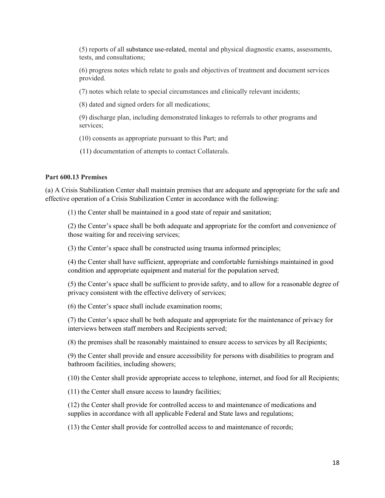(5) reports of all substance use-related, mental and physical diagnostic exams, assessments, tests, and consultations;

 (6) progress notes which relate to goals and objectives of treatment and document services provided.

(7) notes which relate to special circumstances and clinically relevant incidents;

(8) dated and signed orders for all medications;

services: (9) discharge plan, including demonstrated linkages to referrals to other programs and

services;<br>(10) consents as appropriate pursuant to this Part; and

(11) documentation of attempts to contact Collaterals.

#### **Part 600.13 Premises**

 (a) A Crisis Stabilization Center shall maintain premises that are adequate and appropriate for the safe and effective operation of a Crisis Stabilization Center in accordance with the following:

(1) the Center shall be maintained in a good state of repair and sanitation;

 (2) the Center's space shall be both adequate and appropriate for the comfort and convenience of those waiting for and receiving services;

(3) the Center's space shall be constructed using trauma informed principles;

 (4) the Center shall have sufficient, appropriate and comfortable furnishings maintained in good condition and appropriate equipment and material for the population served;

 (5) the Center's space shall be sufficient to provide safety, and to allow for a reasonable degree of privacy consistent with the effective delivery of services;

(6) the Center's space shall include examination rooms;

 (7) the Center's space shall be both adequate and appropriate for the maintenance of privacy for interviews between staff members and Recipients served;

(8) the premises shall be reasonably maintained to ensure access to services by all Recipients;

(9) the Center shall provide and ensure accessibility for persons with disabilities to program and bathroom facilities, including showers;

(10) the Center shall provide appropriate access to telephone, internet, and food for all Recipients;

(11) the Center shall ensure access to laundry facilities;

(12) the Center shall provide for controlled access to and maintenance of medications and supplies in accordance with all applicable Federal and State laws and regulations;

(13) the Center shall provide for controlled access to and maintenance of records;